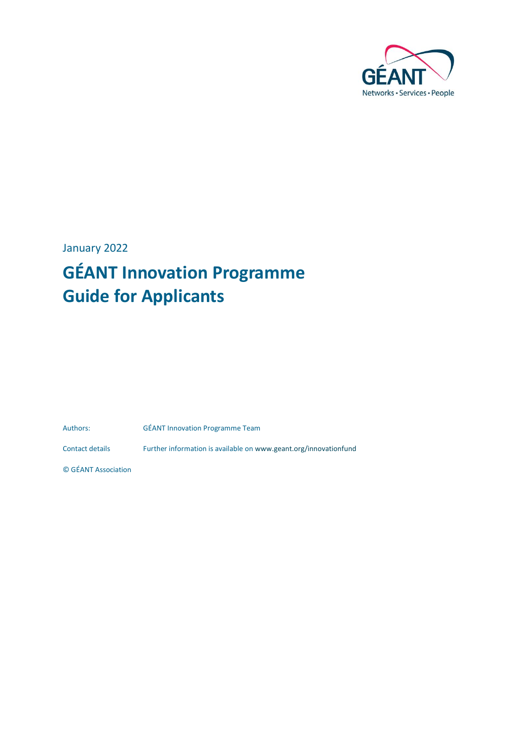

January 2022

# **GÉANT Innovation Programme Guide for Applicants**

Authors: GÉANT Innovation Programme Team

Contact details Further information is available on www.geant.org/innovationfund

© GÉANT Association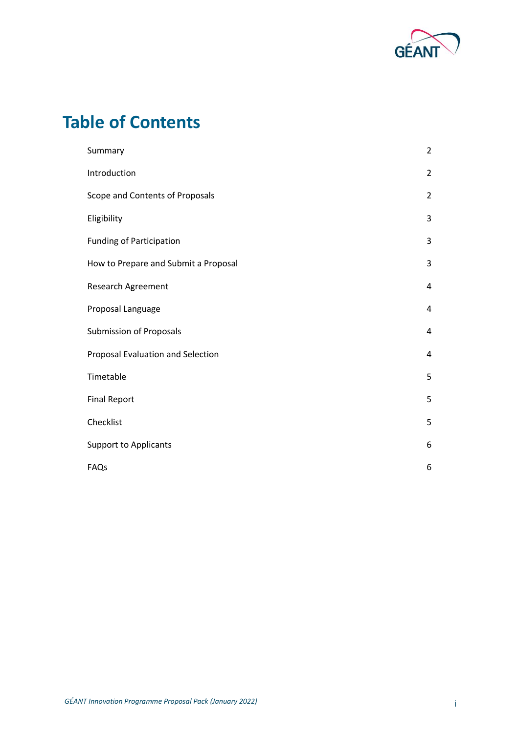

# **Table of Contents**

| Summary                              | $\overline{2}$ |
|--------------------------------------|----------------|
| Introduction                         | $\overline{2}$ |
| Scope and Contents of Proposals      | $\overline{2}$ |
| Eligibility                          | 3              |
| <b>Funding of Participation</b>      | 3              |
| How to Prepare and Submit a Proposal | 3              |
| Research Agreement                   | 4              |
| Proposal Language                    | 4              |
| <b>Submission of Proposals</b>       | $\overline{4}$ |
| Proposal Evaluation and Selection    | 4              |
| Timetable                            | 5              |
| <b>Final Report</b>                  | 5              |
| Checklist                            | 5              |
| <b>Support to Applicants</b>         | 6              |
| FAQs                                 | 6              |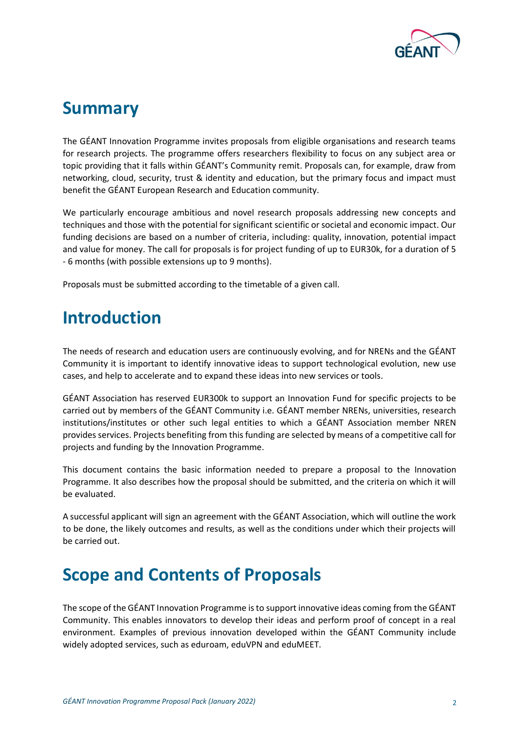

### <span id="page-2-0"></span>**Summary**

The GÉANT Innovation Programme invites proposals from eligible organisations and research teams for research projects. The programme offers researchers flexibility to focus on any subject area or topic providing that it falls within GÉANT's Community remit. Proposals can, for example, draw from networking, cloud, security, trust & identity and education, but the primary focus and impact must benefit the GÉANT European Research and Education community.

We particularly encourage ambitious and novel research proposals addressing new concepts and techniques and those with the potential for significant scientific or societal and economic impact. Our funding decisions are based on a number of criteria, including: quality, innovation, potential impact and value for money. The call for proposals is for project funding of up to EUR30k, for a duration of 5 - 6 months (with possible extensions up to 9 months).

Proposals must be submitted according to the timetable of a given call.

### <span id="page-2-1"></span>**Introduction**

The needs of research and education users are continuously evolving, and for NRENs and the GÉANT Community it is important to identify innovative ideas to support technological evolution, new use cases, and help to accelerate and to expand these ideas into new services or tools.

GÉANT Association has reserved EUR300k to support an Innovation Fund for specific projects to be carried out by members of the GÉANT Community i.e. GÉANT member NRENs, universities, research institutions/institutes or other such legal entities to which a GÉANT Association member NREN provides services. Projects benefiting from this funding are selected by means of a competitive call for projects and funding by the Innovation Programme.

This document contains the basic information needed to prepare a proposal to the Innovation Programme. It also describes how the proposal should be submitted, and the criteria on which it will be evaluated.

A successful applicant will sign an agreement with the GÉANT Association, which will outline the work to be done, the likely outcomes and results, as well as the conditions under which their projects will be carried out.

# <span id="page-2-2"></span>**Scope and Contents of Proposals**

The scope of the GÉANT Innovation Programme is to support innovative ideas coming from the GÉANT Community. This enables innovators to develop their ideas and perform proof of concept in a real environment. Examples of previous innovation developed within the GÉANT Community include widely adopted services, such as eduroam, eduVPN and eduMEET.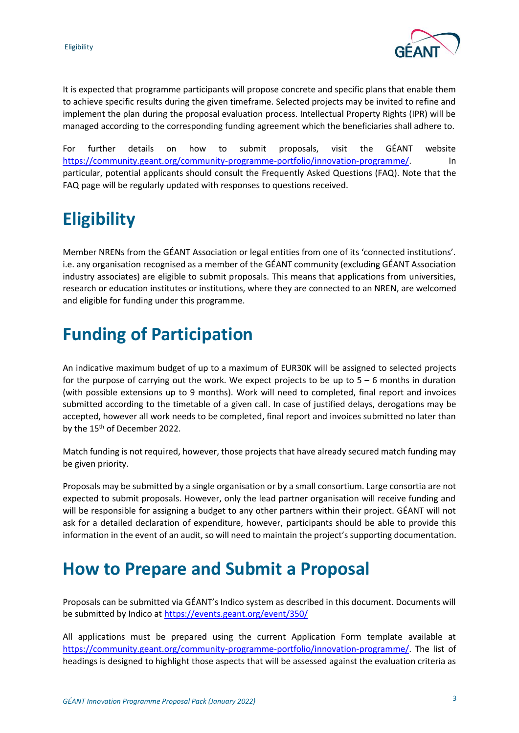

It is expected that programme participants will propose concrete and specific plans that enable them to achieve specific results during the given timeframe. Selected projects may be invited to refine and implement the plan during the proposal evaluation process. Intellectual Property Rights (IPR) will be managed according to the corresponding funding agreement which the beneficiaries shall adhere to.

For further details on how to submit proposals, visit the GÉANT website [https://community.geant.org/community-programme-portfolio/innovation-programme/.](https://community.geant.org/community-programme-portfolio/innovation-programme/) In particular, potential applicants should consult the Frequently Asked Questions (FAQ). Note that the FAQ page will be regularly updated with responses to questions received.

# <span id="page-3-0"></span>**Eligibility**

Member NRENs from the GÉANT Association or legal entities from one of its 'connected institutions'. i.e. any organisation recognised as a member of the GÉANT community (excluding GÉANT Association industry associates) are eligible to submit proposals. This means that applications from universities, research or education institutes or institutions, where they are connected to an NREN, are welcomed and eligible for funding under this programme.

# <span id="page-3-1"></span>**Funding of Participation**

An indicative maximum budget of up to a maximum of EUR30K will be assigned to selected projects for the purpose of carrying out the work. We expect projects to be up to 5 – 6 months in duration (with possible extensions up to 9 months). Work will need to completed, final report and invoices submitted according to the timetable of a given call. In case of justified delays, derogations may be accepted, however all work needs to be completed, final report and invoices submitted no later than by the 15<sup>th</sup> of December 2022.

Match funding is not required, however, those projects that have already secured match funding may be given priority.

Proposals may be submitted by a single organisation or by a small consortium. Large consortia are not expected to submit proposals. However, only the lead partner organisation will receive funding and will be responsible for assigning a budget to any other partners within their project. GÉANT will not ask for a detailed declaration of expenditure, however, participants should be able to provide this information in the event of an audit, so will need to maintain the project's supporting documentation.

### <span id="page-3-2"></span>**How to Prepare and Submit a Proposal**

Proposals can be submitted via GÉANT's Indico system as described in this document. Documents will be submitted by Indico at<https://events.geant.org/event/350/>

All applications must be prepared using the current Application Form template available at [https://community.geant.org/community-programme-portfolio/innovation-programme/.](https://community.geant.org/community-programme-portfolio/innovation-programme/) The list of headings is designed to highlight those aspects that will be assessed against the evaluation criteria as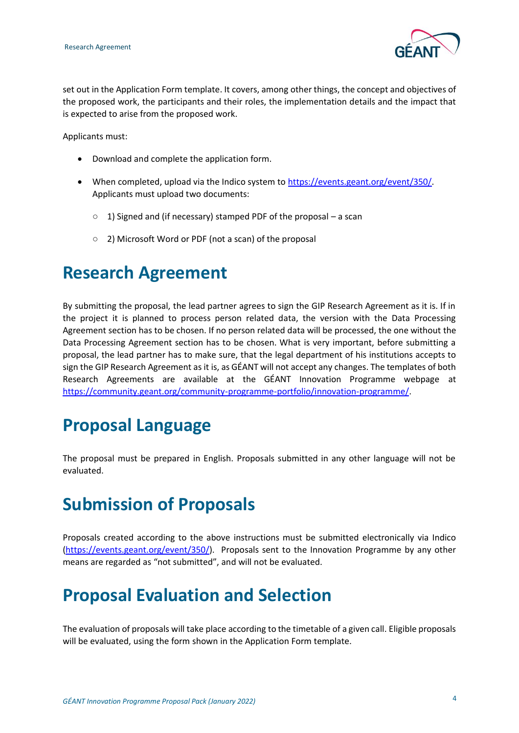

set out in the Application Form template. It covers, among other things, the concept and objectives of the proposed work, the participants and their roles, the implementation details and the impact that is expected to arise from the proposed work.

Applicants must:

- Download and complete the application form.
- When completed, upload via the Indico system to [https://events.geant.org/event/350/.](https://events.geant.org/event/350/) Applicants must upload two documents:
	- 1) Signed and (if necessary) stamped PDF of the proposal a scan
	- 2) Microsoft Word or PDF (not a scan) of the proposal

### <span id="page-4-0"></span>**Research Agreement**

By submitting the proposal, the lead partner agrees to sign the GIP Research Agreement as it is. If in the project it is planned to process person related data, the version with the Data Processing Agreement section has to be chosen. If no person related data will be processed, the one without the Data Processing Agreement section has to be chosen. What is very important, before submitting a proposal, the lead partner has to make sure, that the legal department of his institutions accepts to sign the GIP Research Agreement as it is, as GÉANT will not accept any changes. The templates of both Research Agreements are available at the GÉANT Innovation Programme webpage at [https://community.geant.org/community-programme-portfolio/innovation-programme/.](https://community.geant.org/community-programme-portfolio/innovation-programme/)

# <span id="page-4-1"></span>**Proposal Language**

The proposal must be prepared in English. Proposals submitted in any other language will not be evaluated.

# <span id="page-4-2"></span>**Submission of Proposals**

Proposals created according to the above instructions must be submitted electronically via Indico [\(https://events.geant.org/event/350/\)](https://events.geant.org/event/350/). Proposals sent to the Innovation Programme by any other means are regarded as "not submitted", and will not be evaluated.

### <span id="page-4-3"></span>**Proposal Evaluation and Selection**

The evaluation of proposals will take place according to the timetable of a given call. Eligible proposals will be evaluated, using the form shown in the Application Form template.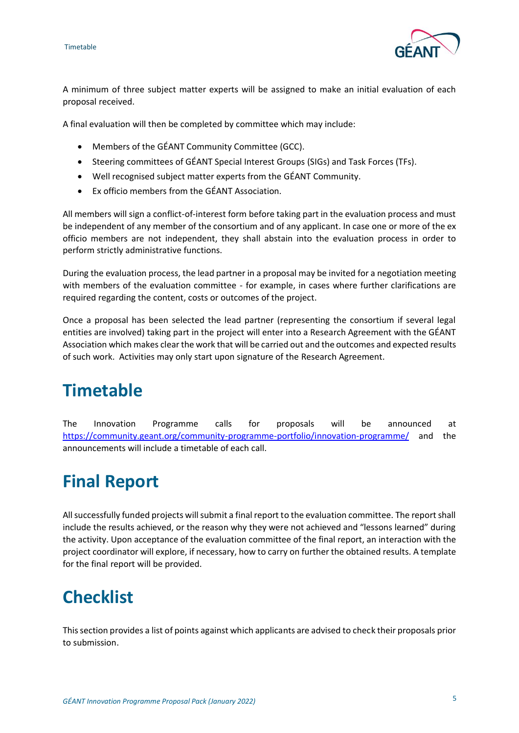

A minimum of three subject matter experts will be assigned to make an initial evaluation of each proposal received.

A final evaluation will then be completed by committee which may include:

- Members of the GÉANT Community Committee (GCC).
- Steering committees of GÉANT Special Interest Groups (SIGs) and Task Forces (TFs).
- Well recognised subject matter experts from the GÉANT Community.
- Ex officio members from the GÉANT Association.

All members will sign a conflict-of-interest form before taking part in the evaluation process and must be independent of any member of the consortium and of any applicant. In case one or more of the ex officio members are not independent, they shall abstain into the evaluation process in order to perform strictly administrative functions.

During the evaluation process, the lead partner in a proposal may be invited for a negotiation meeting with members of the evaluation committee - for example, in cases where further clarifications are required regarding the content, costs or outcomes of the project.

Once a proposal has been selected the lead partner (representing the consortium if several legal entities are involved) taking part in the project will enter into a Research Agreement with the GÉANT Association which makes clear the work that will be carried out and the outcomes and expected results of such work. Activities may only start upon signature of the Research Agreement.

### <span id="page-5-0"></span>**Timetable**

The Innovation Programme calls for proposals will be announced at <https://community.geant.org/community-programme-portfolio/innovation-programme/> and the announcements will include a timetable of each call.

# <span id="page-5-1"></span>**Final Report**

All successfully funded projects will submit a final report to the evaluation committee. The report shall include the results achieved, or the reason why they were not achieved and "lessons learned" during the activity. Upon acceptance of the evaluation committee of the final report, an interaction with the project coordinator will explore, if necessary, how to carry on further the obtained results. A template for the final report will be provided.

### <span id="page-5-2"></span>**Checklist**

This section provides a list of points against which applicants are advised to check their proposals prior to submission.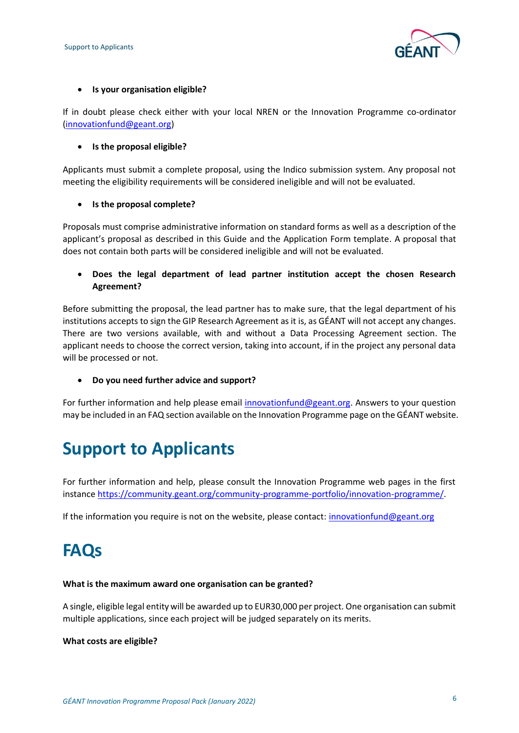

#### • **Is your organisation eligible?**

If in doubt please check either with your local NREN or the Innovation Programme co-ordinator [\(innovationfund@geant.org\)](mailto:innovationfund@geant.org)

#### • **Is the proposal eligible?**

Applicants must submit a complete proposal, using the Indico submission system. Any proposal not meeting the eligibility requirements will be considered ineligible and will not be evaluated.

#### • **Is the proposal complete?**

Proposals must comprise administrative information on standard forms as well as a description of the applicant's proposal as described in this Guide and the Application Form template. A proposal that does not contain both parts will be considered ineligible and will not be evaluated.

• **Does the legal department of lead partner institution accept the chosen Research Agreement?**

Before submitting the proposal, the lead partner has to make sure, that the legal department of his institutions accepts to sign the GIP Research Agreement as it is, as GÉANT will not accept any changes. There are two versions available, with and without a Data Processing Agreement section. The applicant needs to choose the correct version, taking into account, if in the project any personal data will be processed or not.

• **Do you need further advice and support?**

For further information and help please email [innovationfund@geant.org.](mailto:innovationfund@geant.org) Answers to your question may be included in an FAQ section available on the Innovation Programme page on the GÉANT website.

# <span id="page-6-0"></span>**Support to Applicants**

For further information and help, please consult the Innovation Programme web pages in the first instance [https://community.geant.org/community-programme-portfolio/innovation-programme/.](https://community.geant.org/community-programme-portfolio/innovation-programme/) 

If the information you require is not on the website, please contact: [innovationfund@geant.org](mailto:innovationfund@geant.org)

### <span id="page-6-1"></span>**FAQs**

#### **What is the maximum award one organisation can be granted?**

A single, eligible legal entity will be awarded up to EUR30,000 per project. One organisation can submit multiple applications, since each project will be judged separately on its merits.

#### **What costs are eligible?**